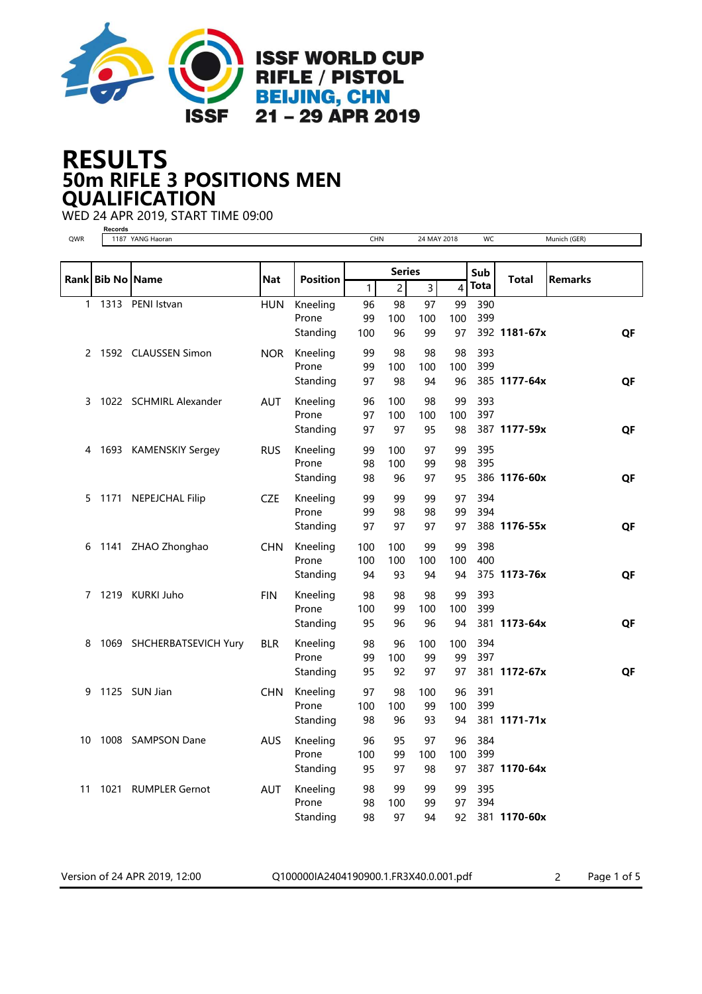

## 50m RIFLE 3 POSITIONS MEN RESULTS **QUALIFICATION**

WED 24 APR 2019, START TIME 09:00

|  | Records |  |        |  |
|--|---------|--|--------|--|
|  | 1187    |  | YANG I |  |

| YANG Haoran |
|-------------|

| QWR          |                  | 1187 YANG Haoran          |            |                   | <b>CHN</b> |                | 24 MAY 2018 |                         | wc         |              | Munich (GER)   |           |
|--------------|------------------|---------------------------|------------|-------------------|------------|----------------|-------------|-------------------------|------------|--------------|----------------|-----------|
|              |                  |                           |            |                   |            |                |             |                         |            |              |                |           |
|              | Rank Bib No Name |                           | Nat        | <b>Position</b>   |            | <b>Series</b>  |             |                         | Sub        | <b>Total</b> | <b>Remarks</b> |           |
|              |                  |                           |            |                   | 1          | $\overline{c}$ | 3           | $\overline{\mathbf{4}}$ | Tota       |              |                |           |
| $\mathbf{1}$ |                  | 1313 PENI Istvan          | <b>HUN</b> | Kneeling          | 96         | 98             | 97          | 99                      | 390        |              |                |           |
|              |                  |                           |            | Prone             | 99         | 100            | 100         | 100                     | 399        |              |                |           |
|              |                  |                           |            | Standing          | 100        | 96             | 99          | 97                      |            | 392 1181-67x |                | QF        |
| 2            |                  | 1592 CLAUSSEN Simon       | NOR.       | Kneeling          | 99         | 98             | 98          | 98                      | 393        |              |                |           |
|              |                  |                           |            | Prone             | 99         | 100            | 100         | 100                     | 399        |              |                |           |
|              |                  |                           |            | Standing          | 97         | 98             | 94          | 96                      |            | 385 1177-64x |                | QF        |
| 3            |                  | 1022 SCHMIRL Alexander    | <b>AUT</b> | Kneeling          | 96         | 100            | 98          | 99                      | 393        |              |                |           |
|              |                  |                           |            | Prone             | 97         | 100            | 100         | 100                     | 397        |              |                |           |
|              |                  |                           |            | Standing          | 97         | 97             | 95          | 98                      |            | 387 1177-59x |                | QF        |
|              |                  |                           |            |                   |            |                |             |                         |            |              |                |           |
| 4            |                  | 1693 KAMENSKIY Sergey     | <b>RUS</b> | Kneeling<br>Prone | 99<br>98   | 100<br>100     | 97<br>99    | 99<br>98                | 395<br>395 |              |                |           |
|              |                  |                           |            | Standing          | 98         | 96             | 97          | 95                      |            | 386 1176-60x |                | <b>QF</b> |
|              |                  |                           |            |                   |            |                |             |                         |            |              |                |           |
| 5            |                  | 1171 NEPEJCHAL Filip      | <b>CZE</b> | Kneeling          | 99         | 99             | 99          | 97                      | 394        |              |                |           |
|              |                  |                           |            | Prone             | 99         | 98             | 98          | 99                      | 394        |              |                |           |
|              |                  |                           |            | Standing          | 97         | 97             | 97          | 97                      |            | 388 1176-55x |                | QF        |
|              |                  | 6 1141 ZHAO Zhonghao      | <b>CHN</b> | Kneeling          | 100        | 100            | 99          | 99                      | 398        |              |                |           |
|              |                  |                           |            | Prone             | 100        | 100            | 100         | 100                     | 400        |              |                |           |
|              |                  |                           |            | Standing          | 94         | 93             | 94          | 94                      |            | 375 1173-76x |                | QF        |
| 7            |                  | 1219 KURKI Juho           | <b>FIN</b> | Kneeling          | 98         | 98             | 98          | 99                      | 393        |              |                |           |
|              |                  |                           |            | Prone             | 100        | 99             | 100         | 100                     | 399        |              |                |           |
|              |                  |                           |            | Standing          | 95         | 96             | 96          | 94                      |            | 381 1173-64x |                | QF        |
| 8            |                  | 1069 SHCHERBATSEVICH Yury | <b>BLR</b> | Kneeling          | 98         | 96             | 100         | 100                     | 394        |              |                |           |
|              |                  |                           |            | Prone             | 99         | 100            | 99          | 99                      | 397        |              |                |           |
|              |                  |                           |            | Standing          | 95         | 92             | 97          | 97                      |            | 381 1172-67x |                | QF        |
| 9            |                  | 1125 SUN Jian             | <b>CHN</b> | Kneeling          | 97         | 98             | 100         | 96                      | 391        |              |                |           |
|              |                  |                           |            | Prone             | 100        | 100            | 99          | 100                     | 399        |              |                |           |
|              |                  |                           |            | Standing          | 98         | 96             | 93          | 94                      |            | 381 1171-71x |                |           |
|              |                  |                           |            |                   |            |                |             |                         |            |              |                |           |
| 10           |                  | 1008 SAMPSON Dane         | <b>AUS</b> | Kneeling          | 96         | 95             | 97          | 96                      | 384        |              |                |           |
|              |                  |                           |            | Prone<br>Standing | 100<br>95  | 99<br>97       | 100         | 100<br>97               | 399        | 387 1170-64x |                |           |
|              |                  |                           |            |                   |            |                | 98          |                         |            |              |                |           |
| 11           | 1021             | <b>RUMPLER Gernot</b>     | <b>AUT</b> | Kneeling          | 98         | 99             | 99          | 99                      | 395        |              |                |           |
|              |                  |                           |            | Prone             | 98         | 100            | 99          | 97                      | 394        |              |                |           |
|              |                  |                           |            | Standing          | 98         | 97             | 94          | 92                      |            | 381 1170-60x |                |           |

Version of 24 APR 2019, 12:00 Q100000IA2404190900.1.FR3X40.0.001.pdf 2 Page 1 of 5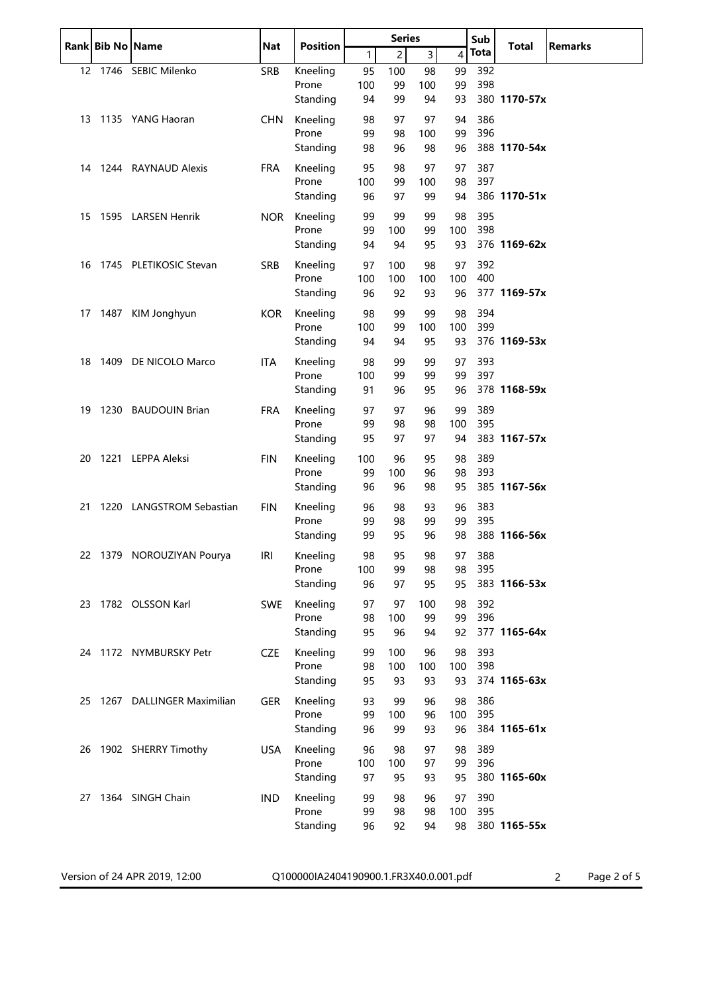|    | Rank Bib No Name |                              | <b>Nat</b> | <b>Position</b>   | <b>Series</b> |                | Sub            | <b>Total</b>            | <b>Remarks</b> |              |  |
|----|------------------|------------------------------|------------|-------------------|---------------|----------------|----------------|-------------------------|----------------|--------------|--|
|    |                  |                              |            |                   | 1             | $\overline{c}$ | $\overline{3}$ | $\overline{\mathbf{4}}$ | <b>Tota</b>    |              |  |
|    |                  | 12 1746 SEBIC Milenko        | <b>SRB</b> | Kneeling          | 95            | 100            | 98             | 99                      | 392            |              |  |
|    |                  |                              |            | Prone             | 100           | 99             | 100            | 99                      | 398            |              |  |
|    |                  |                              |            | Standing          | 94            | 99             | 94             | 93                      |                | 380 1170-57x |  |
|    |                  | 13 1135 YANG Haoran          | <b>CHN</b> | Kneeling          | 98            | 97             | 97             | 94                      | 386            |              |  |
|    |                  |                              |            | Prone             | 99            | 98             | 100            | 99<br>96                | 396            | 388 1170-54x |  |
|    |                  |                              |            | Standing          | 98            | 96             | 98             |                         |                |              |  |
|    |                  | 14 1244 RAYNAUD Alexis       | <b>FRA</b> | Kneeling<br>Prone | 95            | 98             | 97             | 97                      | 387            |              |  |
|    |                  |                              |            | Standing          | 100<br>96     | 99<br>97       | 100<br>99      | 98<br>94                | 397            | 386 1170-51x |  |
|    |                  |                              |            |                   |               |                |                |                         |                |              |  |
| 15 |                  | 1595 LARSEN Henrik           | <b>NOR</b> | Kneeling<br>Prone | 99<br>99      | 99<br>100      | 99<br>99       | 98<br>100               | 395<br>398     |              |  |
|    |                  |                              |            | Standing          | 94            | 94             | 95             | 93                      |                | 376 1169-62x |  |
| 16 |                  | 1745 PLETIKOSIC Stevan       | <b>SRB</b> | Kneeling          | 97            | 100            | 98             | 97                      | 392            |              |  |
|    |                  |                              |            | Prone             | 100           | 100            | 100            | 100                     | 400            |              |  |
|    |                  |                              |            | Standing          | 96            | 92             | 93             | 96                      |                | 377 1169-57x |  |
| 17 |                  | 1487 KIM Jonghyun            | <b>KOR</b> | Kneeling          | 98            | 99             | 99             | 98                      | 394            |              |  |
|    |                  |                              |            | Prone             | 100           | 99             | 100            | 100                     | 399            |              |  |
|    |                  |                              |            | Standing          | 94            | 94             | 95             | 93                      |                | 376 1169-53x |  |
| 18 |                  | 1409 DE NICOLO Marco         | <b>ITA</b> | Kneeling          | 98            | 99             | 99             | 97                      | 393            |              |  |
|    |                  |                              |            | Prone             | 100           | 99             | 99             | 99                      | 397            |              |  |
|    |                  |                              |            | Standing          | 91            | 96             | 95             | 96                      |                | 378 1168-59x |  |
| 19 |                  | 1230 BAUDOUIN Brian          | <b>FRA</b> | Kneeling          | 97            | 97             | 96             | 99                      | 389            |              |  |
|    |                  |                              |            | Prone             | 99            | 98             | 98             | 100                     | 395            |              |  |
|    |                  |                              |            | Standing          | 95            | 97             | 97             | 94                      |                | 383 1167-57x |  |
| 20 |                  | 1221 LEPPA Aleksi            | <b>FIN</b> | Kneeling          | 100           | 96             | 95             | 98                      | 389            |              |  |
|    |                  |                              |            | Prone             | 99            | 100            | 96             | 98                      | 393            | 385 1167-56x |  |
|    |                  |                              |            | Standing          | 96            | 96             | 98             | 95                      |                |              |  |
| 21 |                  | 1220 LANGSTROM Sebastian     | <b>FIN</b> | Kneeling<br>Prone | 96<br>99      | 98<br>98       | 93             | 96                      | 383<br>395     |              |  |
|    |                  |                              |            | Standing          | 99            | 95             | 99<br>96       | 99<br>98                |                | 388 1166-56x |  |
|    |                  |                              |            |                   |               |                |                |                         |                |              |  |
|    |                  | 22 1379 NOROUZIYAN Pourya    | IRI        | Kneeling<br>Prone | 98<br>100     | 95<br>99       | 98<br>98       | 97<br>98                | 388<br>395     |              |  |
|    |                  |                              |            | Standing          | 96            | 97             | 95             | 95                      |                | 383 1166-53x |  |
|    |                  | 23 1782 OLSSON Karl          | <b>SWE</b> | Kneeling          | 97            | 97             | 100            | 98                      | 392            |              |  |
|    |                  |                              |            | Prone             | 98            | 100            | 99             | 99                      | 396            |              |  |
|    |                  |                              |            | Standing          | 95            | 96             | 94             | 92                      |                | 377 1165-64x |  |
|    |                  | 24 1172 NYMBURSKY Petr       | <b>CZE</b> | Kneeling          | 99            | 100            | 96             | 98                      | 393            |              |  |
|    |                  |                              |            | Prone             | 98            | 100            | 100            | 100                     | 398            |              |  |
|    |                  |                              |            | Standing          | 95            | 93             | 93             | 93                      |                | 374 1165-63x |  |
|    |                  | 25 1267 DALLINGER Maximilian | <b>GER</b> | Kneeling          | 93            | 99             | 96             | 98                      | 386            |              |  |
|    |                  |                              |            | Prone             | 99            | 100            | 96             | 100                     | 395            |              |  |
|    |                  |                              |            | Standing          | 96            | 99             | 93             | 96                      |                | 384 1165-61x |  |
|    |                  | 26 1902 SHERRY Timothy       | <b>USA</b> | Kneeling          | 96            | 98             | 97             | 98                      | 389            |              |  |
|    |                  |                              |            | Prone             | 100           | 100            | 97             | 99                      | 396            |              |  |
|    |                  |                              |            | Standing          | 97            | 95             | 93             | 95                      |                | 380 1165-60x |  |
|    |                  | 27 1364 SINGH Chain          | <b>IND</b> | Kneeling          | 99            | 98             | 96             | 97                      | 390            |              |  |
|    |                  |                              |            | Prone<br>Standing | 99<br>96      | 98<br>92       | 98<br>94       | 100<br>98               | 395            | 380 1165-55x |  |
|    |                  |                              |            |                   |               |                |                |                         |                |              |  |
|    |                  |                              |            |                   |               |                |                |                         |                |              |  |

Version of 24 APR 2019, 12:00 Q100000IA2404190900.1.FR3X40.0.001.pdf 2 Page 2 of 5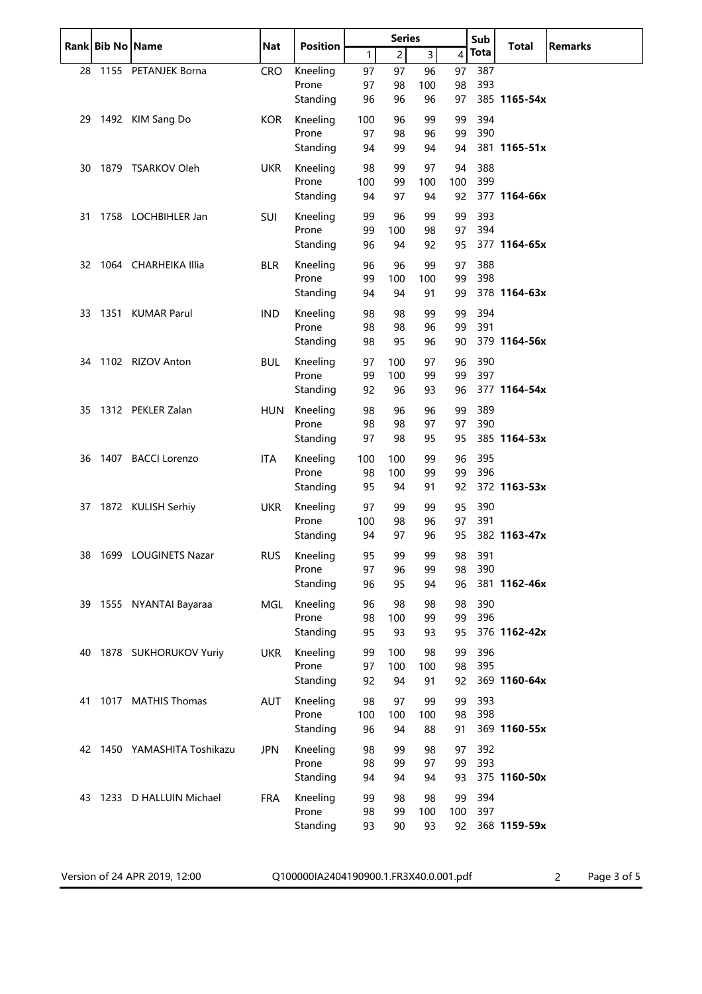|    | Rank Bib No Name |                             | <b>Nat</b> | <b>Position</b> | <b>Series</b> |                | Sub            |                | <b>Total</b> | <b>Remarks</b> |  |
|----|------------------|-----------------------------|------------|-----------------|---------------|----------------|----------------|----------------|--------------|----------------|--|
|    |                  |                             |            |                 | $\mathbf{1}$  | $\overline{c}$ | $\overline{3}$ | $\overline{4}$ | <b>Tota</b>  |                |  |
| 28 |                  | 1155 PETANJEK Borna         | <b>CRO</b> | Kneeling        | 97            | 97             | 96             | 97             | 387          |                |  |
|    |                  |                             |            | Prone           | 97            | 98             | 100            | 98             | 393          |                |  |
|    |                  |                             |            | Standing        | 96            | 96             | 96             | 97             |              | 385 1165-54x   |  |
| 29 |                  | 1492 KIM Sang Do            | KOR        | Kneeling        | 100           | 96             | 99             | 99             | 394          |                |  |
|    |                  |                             |            | Prone           | 97            | 98             | 96             | 99             | 390          |                |  |
|    |                  |                             |            | Standing        | 94            | 99             | 94             | 94             |              | 381 1165-51x   |  |
| 30 |                  | 1879 TSARKOV Oleh           | <b>UKR</b> | Kneeling        | 98            | 99             | 97             | 94             | 388          |                |  |
|    |                  |                             |            | Prone           | 100           | 99             | 100            | 100            | 399          |                |  |
|    |                  |                             |            | Standing        | 94            | 97             | 94             | 92             |              | 377 1164-66x   |  |
| 31 |                  | 1758 LOCHBIHLER Jan         | <b>SUI</b> | Kneeling        | 99            | 96             | 99             | 99             | 393          |                |  |
|    |                  |                             |            | Prone           | 99            | 100            | 98             | 97             | 394          |                |  |
|    |                  |                             |            | Standing        | 96            | 94             | 92             | 95             |              | 377 1164-65x   |  |
|    |                  | 32 1064 CHARHEIKA Illia     | <b>BLR</b> | Kneeling        | 96            | 96             | 99             | 97             | 388          |                |  |
|    |                  |                             |            | Prone           | 99            | 100            | 100            | 99             | 398          |                |  |
|    |                  |                             |            | Standing        | 94            | 94             | 91             | 99             |              | 378 1164-63x   |  |
|    |                  | 33 1351 KUMAR Parul         | <b>IND</b> | Kneeling        | 98            | 98             | 99             | 99             | 394          |                |  |
|    |                  |                             |            | Prone           | 98            | 98             | 96             | 99             | 391          |                |  |
|    |                  |                             |            | Standing        | 98            | 95             | 96             | 90             |              | 379 1164-56x   |  |
| 34 |                  | 1102 RIZOV Anton            | <b>BUL</b> | Kneeling        | 97            | 100            | 97             | 96             | 390          |                |  |
|    |                  |                             |            | Prone           | 99            | 100            | 99             | 99             | 397          |                |  |
|    |                  |                             |            | Standing        | 92            | 96             | 93             | 96             |              | 377 1164-54x   |  |
|    |                  | 35 1312 PEKLER Zalan        | <b>HUN</b> | Kneeling        | 98            | 96             | 96             | 99             | 389          |                |  |
|    |                  |                             |            | Prone           | 98            | 98             | 97             | 97             | 390          |                |  |
|    |                  |                             |            | Standing        | 97            | 98             | 95             | 95             |              | 385 1164-53x   |  |
| 36 |                  | 1407 BACCI Lorenzo          | ITA        | Kneeling        | 100           | 100            | 99             | 96             | 395          |                |  |
|    |                  |                             |            | Prone           | 98            | 100            | 99             | 99             | 396          |                |  |
|    |                  |                             |            | Standing        | 95            | 94             | 91             | 92             |              | 372 1163-53x   |  |
|    |                  | 37 1872 KULISH Serhiy       | <b>UKR</b> | Kneeling        | 97            | 99             | 99             | 95             | 390          |                |  |
|    |                  |                             |            | Prone           | 100           | 98             | 96             | 97             | 391          |                |  |
|    |                  |                             |            | Standing        | 94            | 97             | 96             | 95             |              | 382 1163-47x   |  |
|    |                  | 38 1699 LOUGINETS Nazar     | <b>RUS</b> | Kneeling        | 95            | 99             | 99             | 98             | 391          |                |  |
|    |                  |                             |            | Prone           | 97            | 96             | 99             | 98             | 390          |                |  |
|    |                  |                             |            | Standing        | 96            | 95             | 94             | 96             |              | 381 1162-46x   |  |
|    |                  | 39 1555 NYANTAI Bayaraa     | MGL        | Kneeling        | 96            | 98             | 98             | 98             | 390          |                |  |
|    |                  |                             |            | Prone           | 98            | 100            | 99             | 99             | 396          |                |  |
|    |                  |                             |            | Standing        | 95            | 93             | 93             | 95             |              | 376 1162-42x   |  |
| 40 |                  | 1878 SUKHORUKOV Yuriy       | <b>UKR</b> | Kneeling        | 99            | 100            | 98             | 99             | 396          |                |  |
|    |                  |                             |            | Prone           | 97            | 100            | 100            | 98             | 395          |                |  |
|    |                  |                             |            | Standing        | 92            | 94             | 91             | 92             |              | 369 1160-64x   |  |
| 41 |                  | 1017 MATHIS Thomas          | AUT        | Kneeling        | 98            | 97             | 99             | 99             | 393          |                |  |
|    |                  |                             |            | Prone           | 100           | 100            | 100            | 98             | 398          |                |  |
|    |                  |                             |            | Standing        | 96            | 94             | 88             | 91             |              | 369 1160-55x   |  |
|    |                  | 42 1450 YAMASHITA Toshikazu | <b>JPN</b> | Kneeling        | 98            | 99             | 98             | 97             | 392          |                |  |
|    |                  |                             |            | Prone           | 98            | 99             | 97             | 99             | 393          |                |  |
|    |                  |                             |            | Standing        | 94            | 94             | 94             | 93             |              | 375 1160-50x   |  |
|    |                  | 43 1233 D HALLUIN Michael   | <b>FRA</b> | Kneeling        | 99            | 98             | 98             | 99             | 394          |                |  |
|    |                  |                             |            | Prone           | 98            | 99             | 100            | 100            | 397          |                |  |
|    |                  |                             |            | Standing        | 93            | 90             | 93             | 92             |              | 368 1159-59x   |  |
|    |                  |                             |            |                 |               |                |                |                |              |                |  |

Version of 24 APR 2019, 12:00 Q100000IA2404190900.1.FR3X40.0.001.pdf 2 Page 3 of 5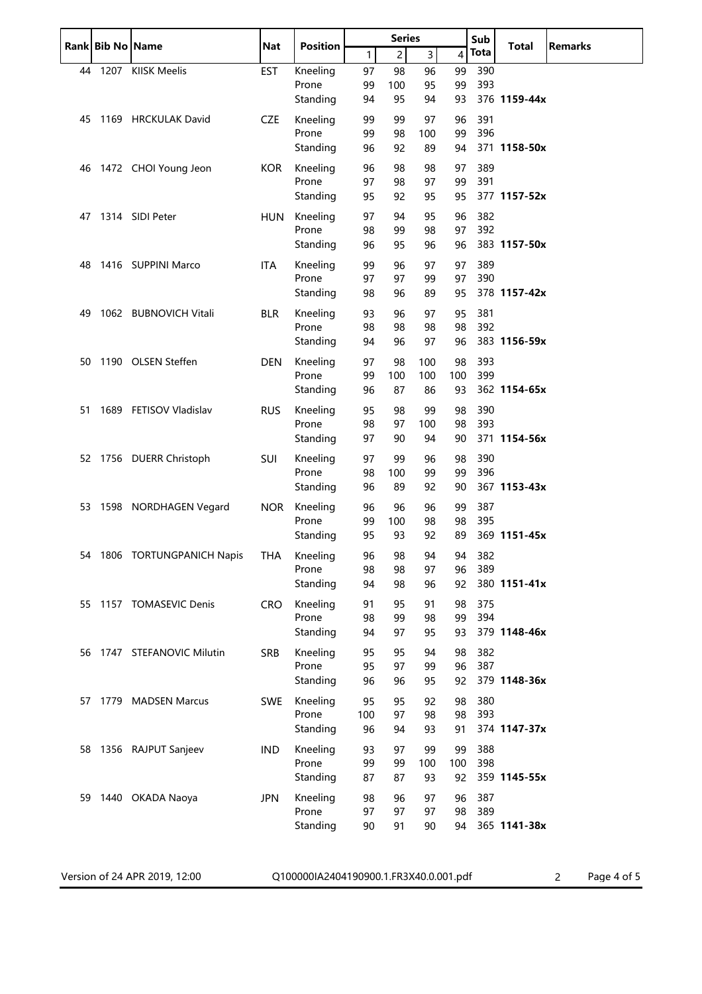|     | Rank Bib No Name |                             | <b>Nat</b> | <b>Position</b>   | <b>Series</b> |                |                | Sub       | <b>Total</b> | <b>Remarks</b> |  |
|-----|------------------|-----------------------------|------------|-------------------|---------------|----------------|----------------|-----------|--------------|----------------|--|
|     |                  |                             |            |                   | $\mathbf{1}$  | $\overline{c}$ | $\overline{3}$ | 4         | Tota         |                |  |
|     |                  | 44 1207 KIISK Meelis        | <b>EST</b> | Kneeling          | 97            | 98             | 96             | 99        | 390          |                |  |
|     |                  |                             |            | Prone             | 99            | 100            | 95             | 99        | 393          |                |  |
|     |                  |                             |            | Standing          | 94            | 95             | 94             | 93        |              | 376 1159-44x   |  |
| 45  |                  | 1169 HRCKULAK David         | <b>CZE</b> | Kneeling          | 99            | 99             | 97             | 96        | 391          |                |  |
|     |                  |                             |            | Prone             | 99            | 98             | 100            | 99        | 396          |                |  |
|     |                  |                             |            | Standing          | 96            | 92             | 89             | 94        |              | 371 1158-50x   |  |
| 46  |                  | 1472 CHOI Young Jeon        | <b>KOR</b> | Kneeling          | 96            | 98             | 98             | 97        | 389          |                |  |
|     |                  |                             |            | Prone             | 97            | 98             | 97             | 99        | 391          |                |  |
|     |                  |                             |            | Standing          | 95            | 92             | 95             | 95        |              | 377 1157-52x   |  |
| 47  |                  | 1314 SIDI Peter             | <b>HUN</b> | Kneeling          | 97            | 94             | 95             | 96        | 382          |                |  |
|     |                  |                             |            | Prone             | 98            | 99             | 98             | 97        | 392          |                |  |
|     |                  |                             |            | Standing          | 96            | 95             | 96             | 96        |              | 383 1157-50x   |  |
| 48  |                  | 1416 SUPPINI Marco          | ITA        | Kneeling          | 99            | 96             | 97             | 97        | 389          |                |  |
|     |                  |                             |            | Prone             | 97            | 97             | 99             | 97        | 390          |                |  |
|     |                  |                             |            | Standing          | 98            | 96             | 89             | 95        |              | 378 1157-42x   |  |
| 49  |                  | 1062 BUBNOVICH Vitali       |            | Kneeling          | 93            | 96             | 97             | 95        | 381          |                |  |
|     |                  |                             | <b>BLR</b> | Prone             | 98            | 98             | 98             | 98        | 392          |                |  |
|     |                  |                             |            | Standing          | 94            | 96             | 97             | 96        |              | 383 1156-59x   |  |
|     |                  |                             |            |                   |               |                |                |           |              |                |  |
| 50  |                  | 1190 OLSEN Steffen          | <b>DEN</b> | Kneeling<br>Prone | 97<br>99      | 98             | 100            | 98        | 393<br>399   |                |  |
|     |                  |                             |            | Standing          | 96            | 100<br>87      | 100<br>86      | 100<br>93 |              | 362 1154-65x   |  |
|     |                  |                             |            |                   |               |                |                |           |              |                |  |
| 51. |                  | 1689 FETISOV Vladislav      | <b>RUS</b> | Kneeling          | 95            | 98             | 99             | 98        | 390          |                |  |
|     |                  |                             |            | Prone             | 98            | 97             | 100            | 98        | 393          | 371 1154-56x   |  |
|     |                  |                             |            | Standing          | 97            | 90             | 94             | 90        |              |                |  |
|     |                  | 52 1756 DUERR Christoph     | <b>SUI</b> | Kneeling          | 97            | 99             | 96             | 98        | 390          |                |  |
|     |                  |                             |            | Prone             | 98            | 100            | 99             | 99        | 396          |                |  |
|     |                  |                             |            | Standing          | 96            | 89             | 92             | 90        |              | 367 1153-43x   |  |
|     |                  | 53 1598 NORDHAGEN Vegard    | <b>NOR</b> | Kneeling          | 96            | 96             | 96             | 99        | 387          |                |  |
|     |                  |                             |            | Prone             | 99            | 100            | 98             | 98        | 395          |                |  |
|     |                  |                             |            | Standing          | 95            | 93             | 92             | 89        |              | 369 1151-45x   |  |
|     |                  | 54 1806 TORTUNGPANICH Napis | THA        | Kneeling          | 96            | 98             | 94             |           | 94 382       |                |  |
|     |                  |                             |            | Prone             | 98            | 98             | 97             | 96        | 389          |                |  |
|     |                  |                             |            | Standing          | 94            | 98             | 96             | 92        |              | 380 1151-41x   |  |
|     |                  | 55 1157 TOMASEVIC Denis     | <b>CRO</b> | Kneeling          | 91            | 95             | 91             | 98        | 375          |                |  |
|     |                  |                             |            | Prone             | 98            | 99             | 98             | 99        | 394          |                |  |
|     |                  |                             |            | Standing          | 94            | 97             | 95             | 93        |              | 379 1148-46x   |  |
|     |                  | 56 1747 STEFANOVIC Milutin  | <b>SRB</b> | Kneeling          | 95            | 95             | 94             | 98        | 382          |                |  |
|     |                  |                             |            | Prone             | 95            | 97             | 99             | 96        | 387          |                |  |
|     |                  |                             |            | Standing          | 96            | 96             | 95             | 92        |              | 379 1148-36x   |  |
|     |                  | 57 1779 MADSEN Marcus       | <b>SWE</b> | Kneeling          | 95            | 95             | 92             | 98        | 380          |                |  |
|     |                  |                             |            | Prone             | 100           | 97             | 98             | 98        | 393          |                |  |
|     |                  |                             |            | Standing          | 96            | 94             | 93             | 91        |              | 374 1147-37x   |  |
|     |                  | 58 1356 RAJPUT Sanjeev      | <b>IND</b> | Kneeling          | 93            | 97             | 99             | 99        | 388          |                |  |
|     |                  |                             |            | Prone             | 99            | 99             | 100            | 100       | 398          |                |  |
|     |                  |                             |            | Standing          | 87            | 87             | 93             | 92        |              | 359 1145-55x   |  |
|     |                  | 59 1440 OKADA Naoya         | <b>JPN</b> | Kneeling          | 98            | 96             | 97             | 96        | 387          |                |  |
|     |                  |                             |            | Prone             | 97            | 97             | 97             | 98        | 389          |                |  |
|     |                  |                             |            | Standing          | 90            | 91             | 90             | 94        |              | 365 1141-38x   |  |
|     |                  |                             |            |                   |               |                |                |           |              |                |  |
|     |                  |                             |            |                   |               |                |                |           |              |                |  |

Version of 24 APR 2019, 12:00 Q100000IA2404190900.1.FR3X40.0.001.pdf 2 Page 4 of 5